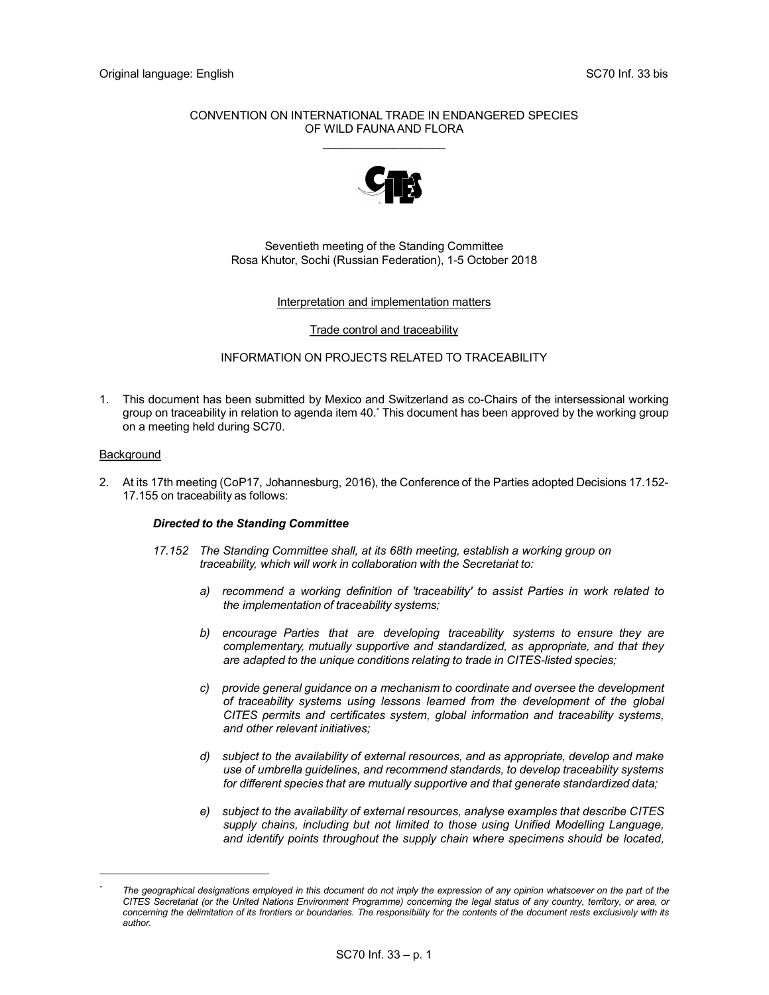### CONVENTION ON INTERNATIONAL TRADE IN ENDANGERED SPECIES OF WILD FAUNA AND FLORA  $\mathcal{L}=\mathcal{L}=\mathcal{L}=\mathcal{L}=\mathcal{L}=\mathcal{L}=\mathcal{L}=\mathcal{L}=\mathcal{L}=\mathcal{L}=\mathcal{L}=\mathcal{L}=\mathcal{L}=\mathcal{L}=\mathcal{L}=\mathcal{L}=\mathcal{L}=\mathcal{L}=\mathcal{L}=\mathcal{L}=\mathcal{L}=\mathcal{L}=\mathcal{L}=\mathcal{L}=\mathcal{L}=\mathcal{L}=\mathcal{L}=\mathcal{L}=\mathcal{L}=\mathcal{L}=\mathcal{L}=\mathcal{L}=\mathcal{L}=\mathcal{L}=\mathcal{L}=\mathcal{L}=\mathcal{$



### Seventieth meeting of the Standing Committee Rosa Khutor, Sochi (Russian Federation), 1-5 October 2018

#### Interpretation and implementation matters

#### Trade control and traceability

### INFORMATION ON PROJECTS RELATED TO TRACEABILITY

1. This document has been submitted by Mexico and Switzerland as co-Chairs of the intersessional working group on traceability in relation to agenda item 40.\* This document has been approved by the working group on a meeting held during SC70.

### Background

2. At its 17th meeting (CoP17, Johannesburg, 2016), the Conference of the Parties adopted Decisions 17.152- 17.155 on traceability as follows:

#### Directed to the Standing Committee

- 17.152 The Standing Committee shall, at its 68th meeting, establish a working group on traceability, which will work in collaboration with the Secretariat to:
	- a) recommend a working definition of 'traceability' to assist Parties in work related to the implementation of traceability systems;
	- b) encourage Parties that are developing traceability systems to ensure they are complementary, mutually supportive and standardized, as appropriate, and that they are adapted to the unique conditions relating to trade in CITES-listed species;
	- c) provide general guidance on a mechanism to coordinate and oversee the development of traceability systems using lessons learned from the development of the global CITES permits and certificates system, global information and traceability systems, and other relevant initiatives;
	- d) subject to the availability of external resources, and as appropriate, develop and make use of umbrella guidelines, and recommend standards, to develop traceability systems for different species that are mutually supportive and that generate standardized data;
	- e) subject to the availability of external resources, analyse examples that describe CITES supply chains, including but not limited to those using Unified Modelling Language, and identify points throughout the supply chain where specimens should be located,

<sup>\*</sup> The geographical designations employed in this document do not imply the expression of any opinion whatsoever on the part of the CITES Secretariat (or the United Nations Environment Programme) concerning the legal status of any country, territory, or area, or concerning the delimitation of its frontiers or boundaries. The responsibility for the contents of the document rests exclusively with its author.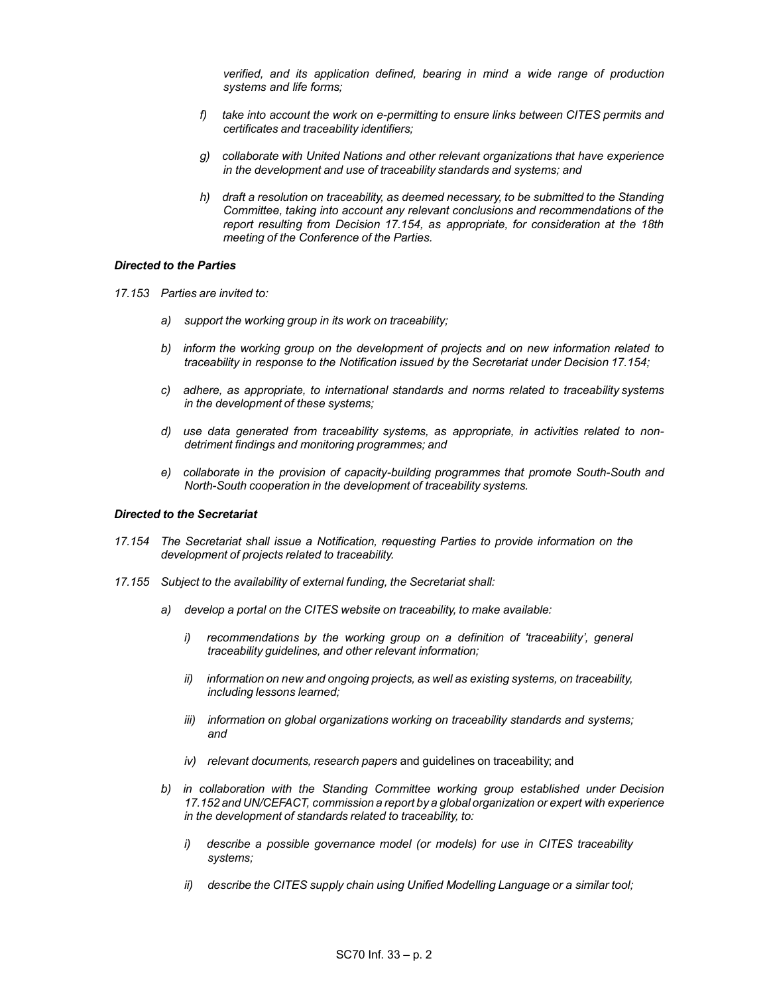verified, and its application defined, bearing in mind a wide range of production systems and life forms;

- f) take into account the work on e-permitting to ensure links between CITES permits and certificates and traceability identifiers;
- g) collaborate with United Nations and other relevant organizations that have experience in the development and use of traceability standards and systems; and
- h) draft a resolution on traceability, as deemed necessary, to be submitted to the Standing Committee, taking into account any relevant conclusions and recommendations of the report resulting from Decision 17.154, as appropriate, for consideration at the 18th meeting of the Conference of the Parties.

#### Directed to the Parties

- 17.153 Parties are invited to:
	- a) support the working group in its work on traceability;
	- b) inform the working group on the development of projects and on new information related to traceability in response to the Notification issued by the Secretariat under Decision 17.154;
	- c) adhere, as appropriate, to international standards and norms related to traceability systems in the development of these systems;
	- d) use data generated from traceability systems, as appropriate, in activities related to nondetriment findings and monitoring programmes; and
	- e) collaborate in the provision of capacity-building programmes that promote South-South and North-South cooperation in the development of traceability systems.

#### Directed to the Secretariat

- 17.154 The Secretariat shall issue a Notification, requesting Parties to provide information on the development of projects related to traceability.
- 17.155 Subject to the availability of external funding, the Secretariat shall:
	- a) develop a portal on the CITES website on traceability, to make available:
		- i) recommendations by the working group on a definition of 'traceability', general traceability guidelines, and other relevant information;
		- ii) information on new and ongoing projects, as well as existing systems, on traceability, including lessons learned;
		- iii) information on global organizations working on traceability standards and systems; and
		- iv) relevant documents, research papers and guidelines on traceability; and
	- b) in collaboration with the Standing Committee working group established under Decision 17.152 and UN/CEFACT, commission a report by a global organization or expert with experience in the development of standards related to traceability, to:
		- i) describe a possible governance model (or models) for use in CITES traceability systems;
		- ii) describe the CITES supply chain using Unified Modelling Language or a similar tool;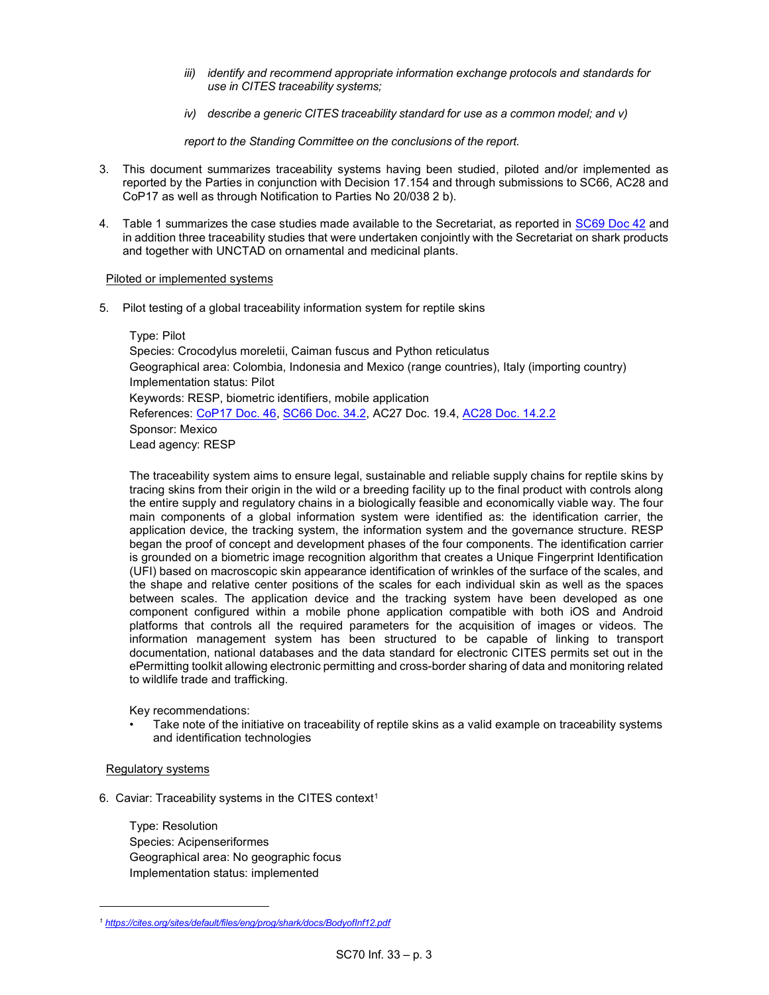- iii) identify and recommend appropriate information exchange protocols and standards for use in CITES traceability systems;
- iv) describe a generic CITES traceability standard for use as a common model; and v)

report to the Standing Committee on the conclusions of the report.

- 3. This document summarizes traceability systems having been studied, piloted and/or implemented as reported by the Parties in conjunction with Decision 17.154 and through submissions to SC66, AC28 and CoP17 as well as through Notification to Parties No 20/038 2 b).
- 4. Table 1 summarizes the case studies made available to the Secretariat, as reported in SC69 Doc 42 and in addition three traceability studies that were undertaken conjointly with the Secretariat on shark products and together with UNCTAD on ornamental and medicinal plants.

### Piloted or implemented systems

5. Pilot testing of a global traceability information system for reptile skins

 Type: Pilot Species: Crocodylus moreletii, Caiman fuscus and Python reticulatus Geographical area: Colombia, Indonesia and Mexico (range countries), Italy (importing country) Implementation status: Pilot Keywords: RESP, biometric identifiers, mobile application References: CoP17 Doc. 46, SC66 Doc. 34.2, AC27 Doc. 19.4, AC28 Doc. 14.2.2 Sponsor: Mexico Lead agency: RESP

 The traceability system aims to ensure legal, sustainable and reliable supply chains for reptile skins by tracing skins from their origin in the wild or a breeding facility up to the final product with controls along the entire supply and regulatory chains in a biologically feasible and economically viable way. The four main components of a global information system were identified as: the identification carrier, the application device, the tracking system, the information system and the governance structure. RESP began the proof of concept and development phases of the four components. The identification carrier is grounded on a biometric image recognition algorithm that creates a Unique Fingerprint Identification (UFI) based on macroscopic skin appearance identification of wrinkles of the surface of the scales, and the shape and relative center positions of the scales for each individual skin as well as the spaces between scales. The application device and the tracking system have been developed as one component configured within a mobile phone application compatible with both iOS and Android platforms that controls all the required parameters for the acquisition of images or videos. The information management system has been structured to be capable of linking to transport documentation, national databases and the data standard for electronic CITES permits set out in the ePermitting toolkit allowing electronic permitting and cross-border sharing of data and monitoring related to wildlife trade and trafficking.

Key recommendations:

• Take note of the initiative on traceability of reptile skins as a valid example on traceability systems and identification technologies

## Regulatory systems

6. Caviar: Traceability systems in the CITES context<sup>1</sup>

 Type: Resolution Species: Acipenseriformes Geographical area: No geographic focus Implementation status: implemented

<sup>1</sup> https://cites.org/sites/default/files/eng/prog/shark/docs/BodyofInf12.pdf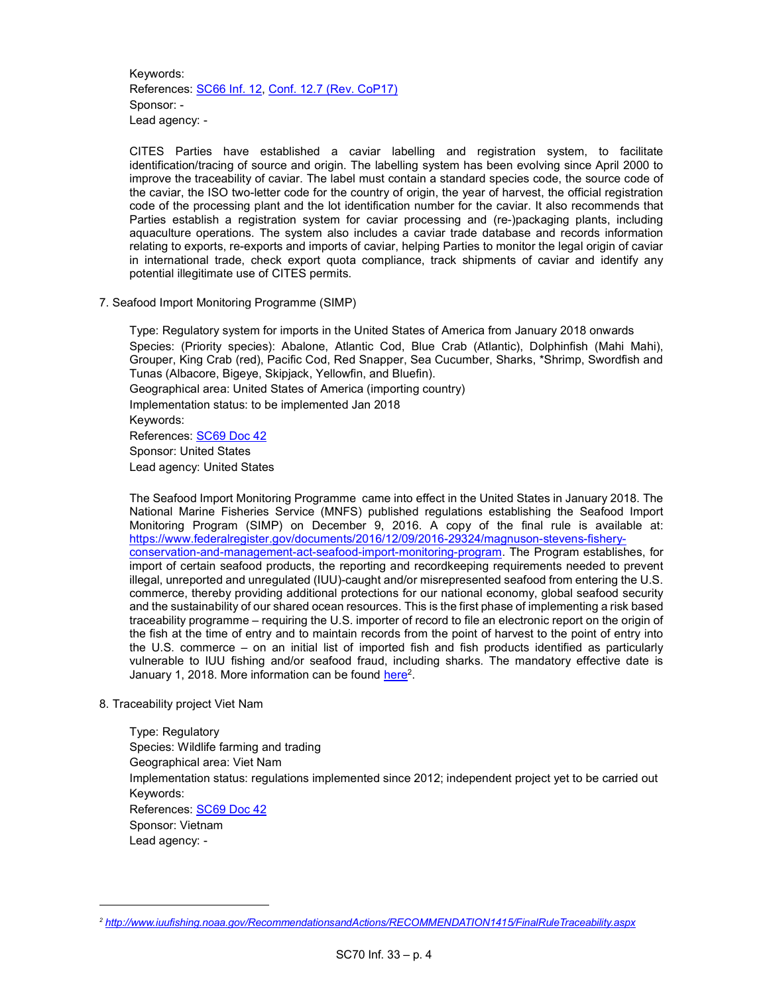Keywords: References: SC66 Inf. 12, Conf. 12.7 (Rev. CoP17) Sponsor: - Lead agency: -

CITES Parties have established a caviar labelling and registration system, to facilitate identification/tracing of source and origin. The labelling system has been evolving since April 2000 to improve the traceability of caviar. The label must contain a standard species code, the source code of the caviar, the ISO two-letter code for the country of origin, the year of harvest, the official registration code of the processing plant and the lot identification number for the caviar. It also recommends that Parties establish a registration system for caviar processing and (re-)packaging plants, including aquaculture operations. The system also includes a caviar trade database and records information relating to exports, re-exports and imports of caviar, helping Parties to monitor the legal origin of caviar in international trade, check export quota compliance, track shipments of caviar and identify any potential illegitimate use of CITES permits.

7. Seafood Import Monitoring Programme (SIMP)

 Type: Regulatory system for imports in the United States of America from January 2018 onwards Species: (Priority species): Abalone, Atlantic Cod, Blue Crab (Atlantic), Dolphinfish (Mahi Mahi), Grouper, King Crab (red), Pacific Cod, Red Snapper, Sea Cucumber, Sharks, \*Shrimp, Swordfish and Tunas (Albacore, Bigeye, Skipjack, Yellowfin, and Bluefin). Geographical area: United States of America (importing country) Implementation status: to be implemented Jan 2018 Keywords: References: **SC69 Doc 42**  Sponsor: United States Lead agency: United States

 The Seafood Import Monitoring Programme came into effect in the United States in January 2018. The National Marine Fisheries Service (MNFS) published regulations establishing the Seafood Import Monitoring Program (SIMP) on December 9, 2016. A copy of the final rule is available at: https://www.federalregister.gov/documents/2016/12/09/2016-29324/magnuson-stevens-fisheryconservation-and-management-act-seafood-import-monitoring-program. The Program establishes, for import of certain seafood products, the reporting and recordkeeping requirements needed to prevent illegal, unreported and unregulated (IUU)-caught and/or misrepresented seafood from entering the U.S. commerce, thereby providing additional protections for our national economy, global seafood security and the sustainability of our shared ocean resources. This is the first phase of implementing a risk based traceability programme – requiring the U.S. importer of record to file an electronic report on the origin of the fish at the time of entry and to maintain records from the point of harvest to the point of entry into the U.S. commerce – on an initial list of imported fish and fish products identified as particularly vulnerable to IUU fishing and/or seafood fraud, including sharks. The mandatory effective date is January 1, 2018. More information can be found <u>here</u><sup>2</sup>.

8. Traceability project Viet Nam

 Type: Regulatory Species: Wildlife farming and trading Geographical area: Viet Nam Implementation status: regulations implemented since 2012; independent project yet to be carried out Keywords: References: SC69 Doc 42 Sponsor: Vietnam Lead agency: -

<sup>2</sup> http://www.iuufishing.noaa.gov/RecommendationsandActions/RECOMMENDATION1415/FinalRuleTraceability.aspx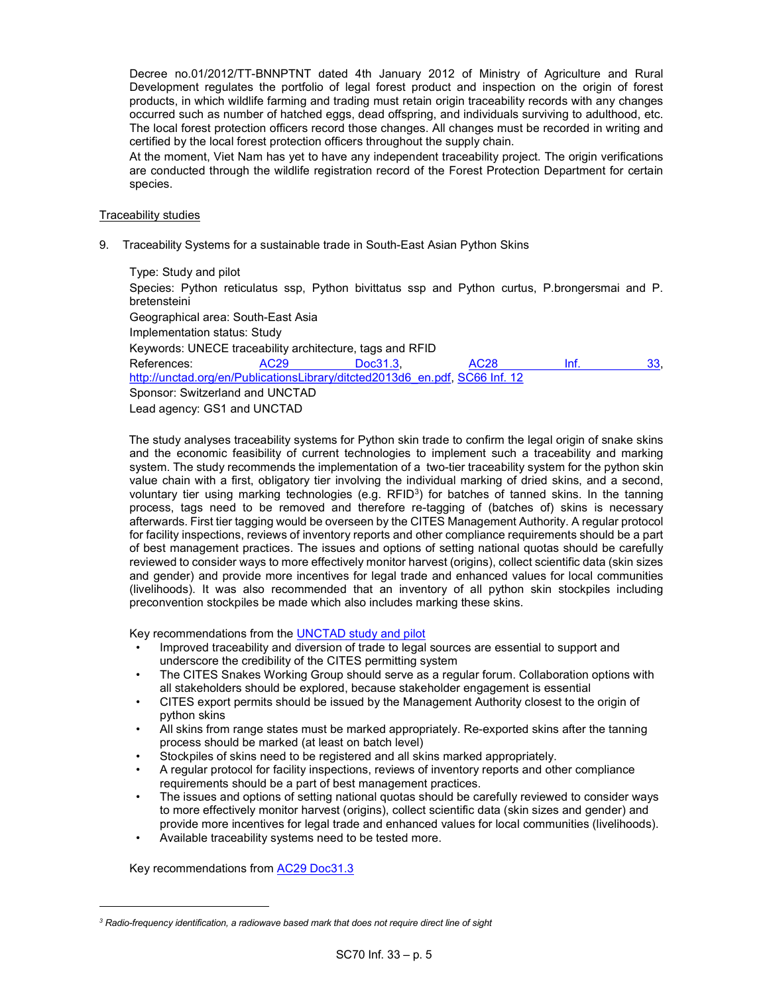Decree no.01/2012/TT-BNNPTNT dated 4th January 2012 of Ministry of Agriculture and Rural Development regulates the portfolio of legal forest product and inspection on the origin of forest products, in which wildlife farming and trading must retain origin traceability records with any changes occurred such as number of hatched eggs, dead offspring, and individuals surviving to adulthood, etc. The local forest protection officers record those changes. All changes must be recorded in writing and certified by the local forest protection officers throughout the supply chain.

At the moment, Viet Nam has yet to have any independent traceability project. The origin verifications are conducted through the wildlife registration record of the Forest Protection Department for certain species.

### Traceability studies

9. Traceability Systems for a sustainable trade in South-East Asian Python Skins

 Type: Study and pilot Species: Python reticulatus ssp, Python bivittatus ssp and Python curtus, P.brongersmai and P. bretensteini Geographical area: South-East Asia Implementation status: Study Keywords: UNECE traceability architecture, tags and RFID References: AC29 Doc31.3, AC28 Inf. 33, http://unctad.org/en/PublicationsLibrary/ditcted2013d6\_en.pdf, SC66 Inf. 12 Sponsor: Switzerland and UNCTAD Lead agency: GS1 and UNCTAD

 The study analyses traceability systems for Python skin trade to confirm the legal origin of snake skins and the economic feasibility of current technologies to implement such a traceability and marking system. The study recommends the implementation of a two-tier traceability system for the python skin value chain with a first, obligatory tier involving the individual marking of dried skins, and a second, voluntary tier using marking technologies (e.g.  $RFID^3$ ) for batches of tanned skins. In the tanning process, tags need to be removed and therefore re-tagging of (batches of) skins is necessary afterwards. First tier tagging would be overseen by the CITES Management Authority. A regular protocol for facility inspections, reviews of inventory reports and other compliance requirements should be a part of best management practices. The issues and options of setting national quotas should be carefully reviewed to consider ways to more effectively monitor harvest (origins), collect scientific data (skin sizes and gender) and provide more incentives for legal trade and enhanced values for local communities (livelihoods). It was also recommended that an inventory of all python skin stockpiles including preconvention stockpiles be made which also includes marking these skins.

Key recommendations from the UNCTAD study and pilot

- Improved traceability and diversion of trade to legal sources are essential to support and underscore the credibility of the CITES permitting system
- The CITES Snakes Working Group should serve as a regular forum. Collaboration options with all stakeholders should be explored, because stakeholder engagement is essential
- CITES export permits should be issued by the Management Authority closest to the origin of python skins
- All skins from range states must be marked appropriately. Re-exported skins after the tanning process should be marked (at least on batch level)
- Stockpiles of skins need to be registered and all skins marked appropriately.
- A regular protocol for facility inspections, reviews of inventory reports and other compliance requirements should be a part of best management practices.
- The issues and options of setting national quotas should be carefully reviewed to consider ways to more effectively monitor harvest (origins), collect scientific data (skin sizes and gender) and provide more incentives for legal trade and enhanced values for local communities (livelihoods).
- Available traceability systems need to be tested more.

Key recommendations from AC29 Doc31.3

 ${}^{3}$  Radio-frequency identification, a radiowave based mark that does not require direct line of sight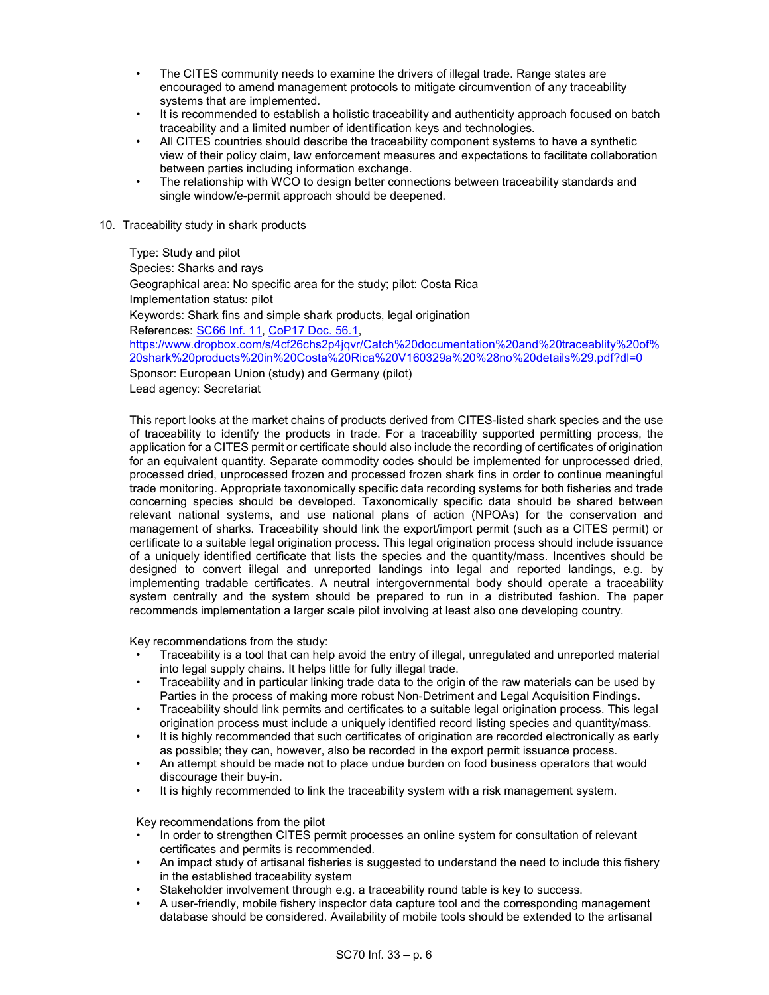- The CITES community needs to examine the drivers of illegal trade. Range states are encouraged to amend management protocols to mitigate circumvention of any traceability systems that are implemented.
- It is recommended to establish a holistic traceability and authenticity approach focused on batch traceability and a limited number of identification keys and technologies.
- All CITES countries should describe the traceability component systems to have a synthetic view of their policy claim, law enforcement measures and expectations to facilitate collaboration between parties including information exchange.
- The relationship with WCO to design better connections between traceability standards and single window/e-permit approach should be deepened.
- 10. Traceability study in shark products

 Type: Study and pilot Species: Sharks and rays Geographical area: No specific area for the study; pilot: Costa Rica Implementation status: pilot Keywords: Shark fins and simple shark products, legal origination References: SC66 Inf. 11, CoP17 Doc. 56.1, https://www.dropbox.com/s/4cf26chs2p4jqvr/Catch%20documentation%20and%20traceablity%20of% 20shark%20products%20in%20Costa%20Rica%20V160329a%20%28no%20details%29.pdf?dl=0 Sponsor: European Union (study) and Germany (pilot)

Lead agency: Secretariat

This report looks at the market chains of products derived from CITES-listed shark species and the use of traceability to identify the products in trade. For a traceability supported permitting process, the application for a CITES permit or certificate should also include the recording of certificates of origination for an equivalent quantity. Separate commodity codes should be implemented for unprocessed dried, processed dried, unprocessed frozen and processed frozen shark fins in order to continue meaningful trade monitoring. Appropriate taxonomically specific data recording systems for both fisheries and trade concerning species should be developed. Taxonomically specific data should be shared between relevant national systems, and use national plans of action (NPOAs) for the conservation and management of sharks. Traceability should link the export/import permit (such as a CITES permit) or certificate to a suitable legal origination process. This legal origination process should include issuance of a uniquely identified certificate that lists the species and the quantity/mass. Incentives should be designed to convert illegal and unreported landings into legal and reported landings, e.g. by implementing tradable certificates. A neutral intergovernmental body should operate a traceability system centrally and the system should be prepared to run in a distributed fashion. The paper recommends implementation a larger scale pilot involving at least also one developing country.

Key recommendations from the study:

- Traceability is a tool that can help avoid the entry of illegal, unregulated and unreported material into legal supply chains. It helps little for fully illegal trade.
- Traceability and in particular linking trade data to the origin of the raw materials can be used by Parties in the process of making more robust Non-Detriment and Legal Acquisition Findings.
- Traceability should link permits and certificates to a suitable legal origination process. This legal origination process must include a uniquely identified record listing species and quantity/mass.
- It is highly recommended that such certificates of origination are recorded electronically as early as possible; they can, however, also be recorded in the export permit issuance process.
- An attempt should be made not to place undue burden on food business operators that would discourage their buy-in.
- It is highly recommended to link the traceability system with a risk management system.

Key recommendations from the pilot

- In order to strengthen CITES permit processes an online system for consultation of relevant certificates and permits is recommended.
- An impact study of artisanal fisheries is suggested to understand the need to include this fishery in the established traceability system
- Stakeholder involvement through e.g. a traceability round table is key to success.
- A user-friendly, mobile fishery inspector data capture tool and the corresponding management database should be considered. Availability of mobile tools should be extended to the artisanal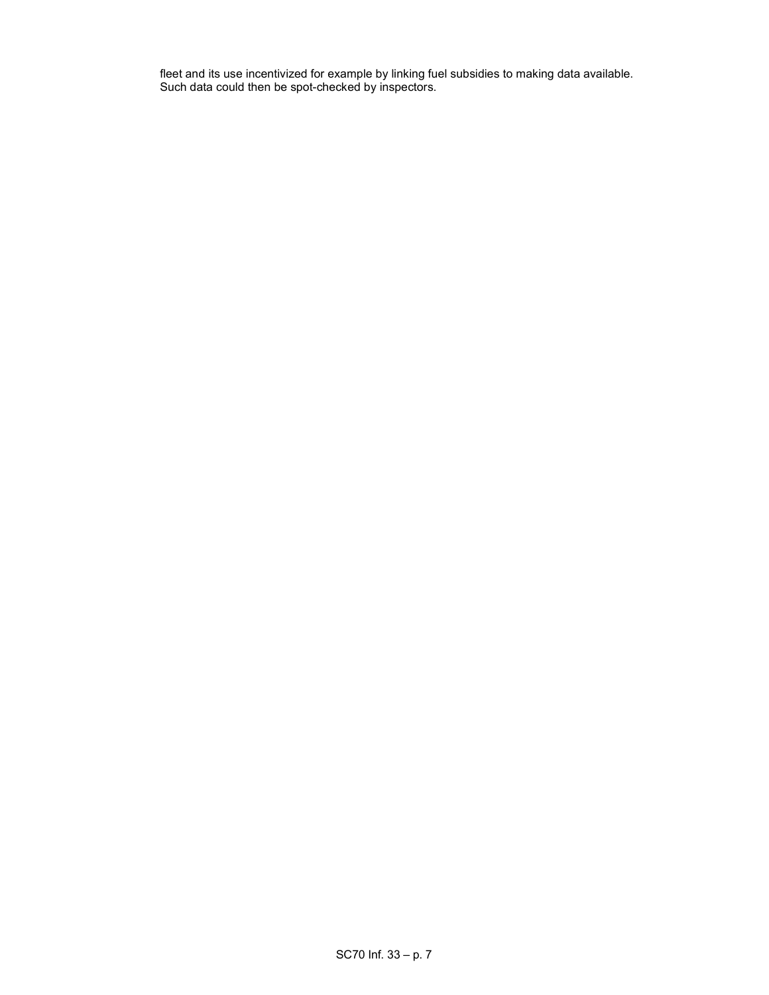fleet and its use incentivized for example by linking fuel subsidies to making data available. Such data could then be spot-checked by inspectors.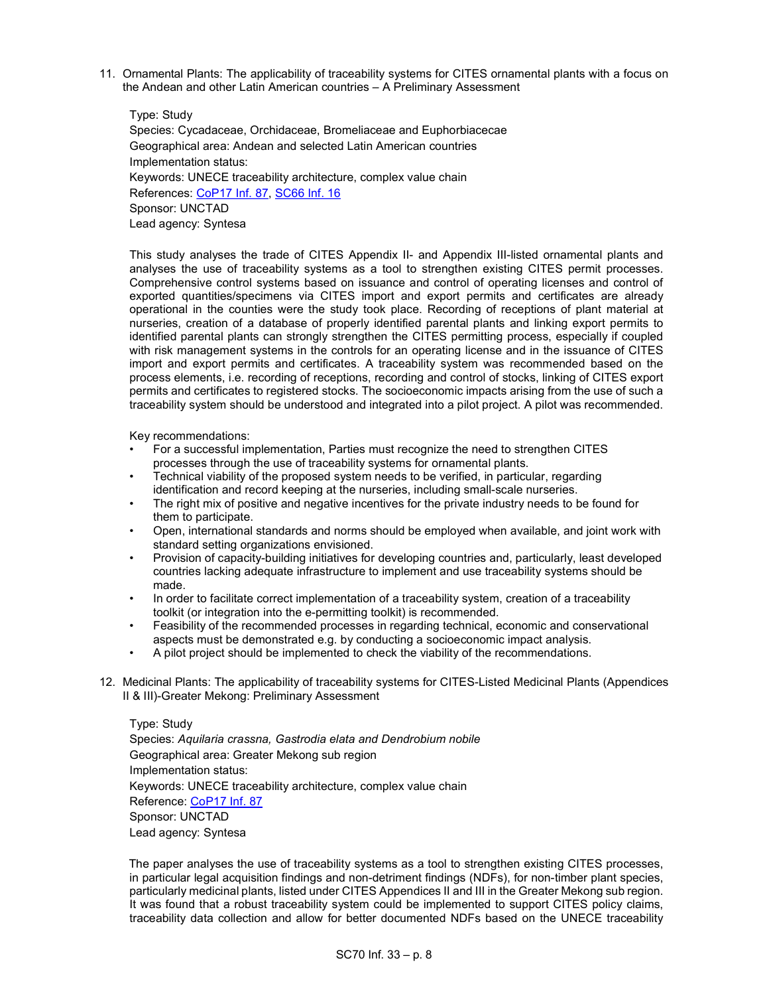11. Ornamental Plants: The applicability of traceability systems for CITES ornamental plants with a focus on the Andean and other Latin American countries – A Preliminary Assessment

 Type: Study Species: Cycadaceae, Orchidaceae, Bromeliaceae and Euphorbiacecae Geographical area: Andean and selected Latin American countries Implementation status: Keywords: UNECE traceability architecture, complex value chain References: CoP17 Inf. 87, SC66 Inf. 16 Sponsor: UNCTAD Lead agency: Syntesa

This study analyses the trade of CITES Appendix II- and Appendix III-listed ornamental plants and analyses the use of traceability systems as a tool to strengthen existing CITES permit processes. Comprehensive control systems based on issuance and control of operating licenses and control of exported quantities/specimens via CITES import and export permits and certificates are already operational in the counties were the study took place. Recording of receptions of plant material at nurseries, creation of a database of properly identified parental plants and linking export permits to identified parental plants can strongly strengthen the CITES permitting process, especially if coupled with risk management systems in the controls for an operating license and in the issuance of CITES import and export permits and certificates. A traceability system was recommended based on the process elements, i.e. recording of receptions, recording and control of stocks, linking of CITES export permits and certificates to registered stocks. The socioeconomic impacts arising from the use of such a traceability system should be understood and integrated into a pilot project. A pilot was recommended.

Key recommendations:

- For a successful implementation, Parties must recognize the need to strengthen CITES processes through the use of traceability systems for ornamental plants.
- Technical viability of the proposed system needs to be verified, in particular, regarding identification and record keeping at the nurseries, including small-scale nurseries.
- The right mix of positive and negative incentives for the private industry needs to be found for them to participate.
- Open, international standards and norms should be employed when available, and joint work with standard setting organizations envisioned.
- Provision of capacity-building initiatives for developing countries and, particularly, least developed countries lacking adequate infrastructure to implement and use traceability systems should be made.
- In order to facilitate correct implementation of a traceability system, creation of a traceability toolkit (or integration into the e-permitting toolkit) is recommended.
- Feasibility of the recommended processes in regarding technical, economic and conservational aspects must be demonstrated e.g. by conducting a socioeconomic impact analysis.
- A pilot project should be implemented to check the viability of the recommendations.
- 12. Medicinal Plants: The applicability of traceability systems for CITES-Listed Medicinal Plants (Appendices II & III)-Greater Mekong: Preliminary Assessment

 Type: Study Species: Aquilaria crassna, Gastrodia elata and Dendrobium nobile Geographical area: Greater Mekong sub region Implementation status: Keywords: UNECE traceability architecture, complex value chain Reference: CoP17 Inf. 87 Sponsor: UNCTAD Lead agency: Syntesa

 The paper analyses the use of traceability systems as a tool to strengthen existing CITES processes, in particular legal acquisition findings and non-detriment findings (NDFs), for non-timber plant species, particularly medicinal plants, listed under CITES Appendices II and III in the Greater Mekong sub region. It was found that a robust traceability system could be implemented to support CITES policy claims, traceability data collection and allow for better documented NDFs based on the UNECE traceability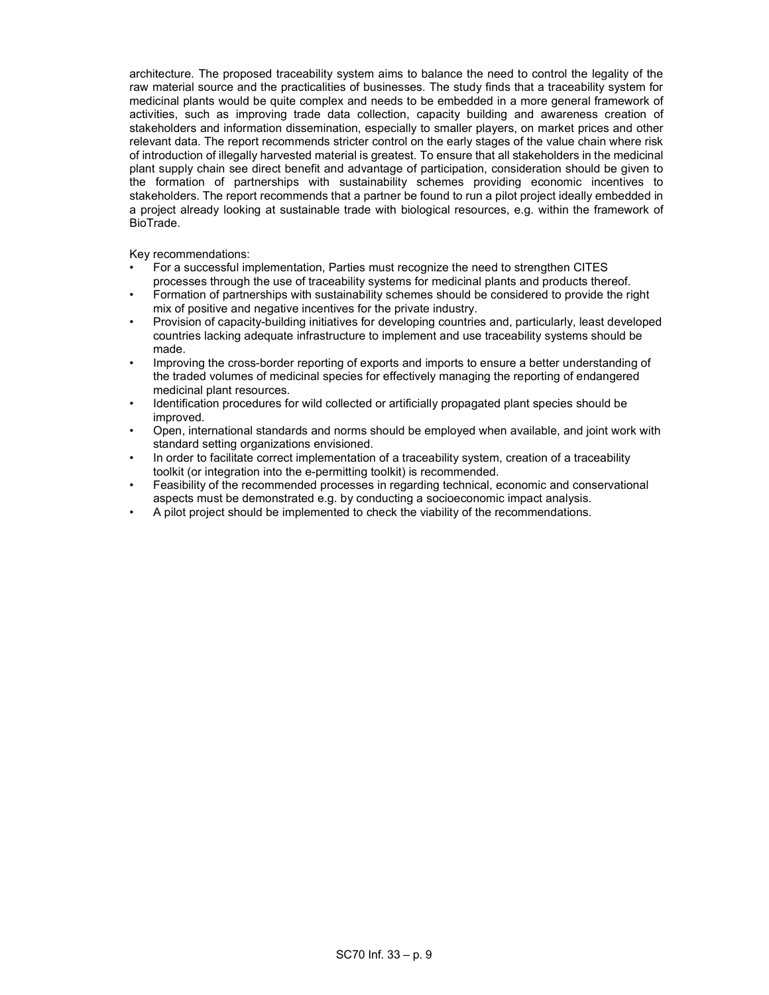architecture. The proposed traceability system aims to balance the need to control the legality of the raw material source and the practicalities of businesses. The study finds that a traceability system for medicinal plants would be quite complex and needs to be embedded in a more general framework of activities, such as improving trade data collection, capacity building and awareness creation of stakeholders and information dissemination, especially to smaller players, on market prices and other relevant data. The report recommends stricter control on the early stages of the value chain where risk of introduction of illegally harvested material is greatest. To ensure that all stakeholders in the medicinal plant supply chain see direct benefit and advantage of participation, consideration should be given to the formation of partnerships with sustainability schemes providing economic incentives to stakeholders. The report recommends that a partner be found to run a pilot project ideally embedded in a project already looking at sustainable trade with biological resources, e.g. within the framework of BioTrade.

Key recommendations:

- For a successful implementation, Parties must recognize the need to strengthen CITES processes through the use of traceability systems for medicinal plants and products thereof.
- Formation of partnerships with sustainability schemes should be considered to provide the right mix of positive and negative incentives for the private industry.
- Provision of capacity-building initiatives for developing countries and, particularly, least developed countries lacking adequate infrastructure to implement and use traceability systems should be made.
- Improving the cross-border reporting of exports and imports to ensure a better understanding of the traded volumes of medicinal species for effectively managing the reporting of endangered medicinal plant resources.
- Identification procedures for wild collected or artificially propagated plant species should be improved.
- Open, international standards and norms should be employed when available, and joint work with standard setting organizations envisioned.
- In order to facilitate correct implementation of a traceability system, creation of a traceability toolkit (or integration into the e-permitting toolkit) is recommended.
- Feasibility of the recommended processes in regarding technical, economic and conservational aspects must be demonstrated e.g. by conducting a socioeconomic impact analysis.
- A pilot project should be implemented to check the viability of the recommendations.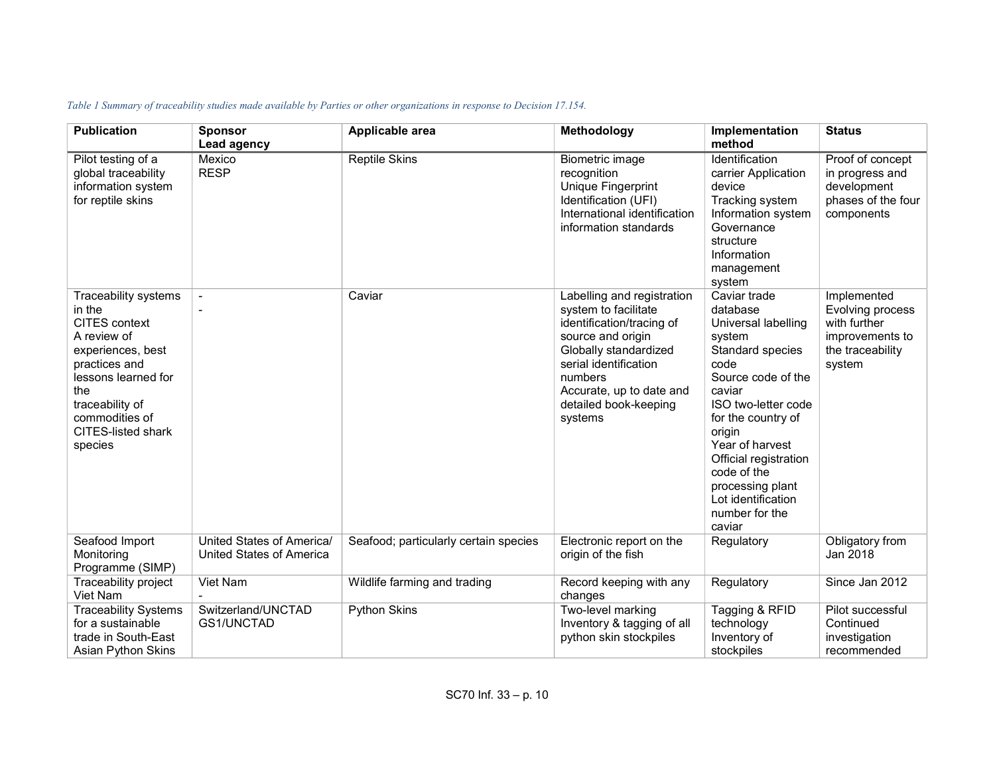| <b>Publication</b>                                                                                                                                                                                              | <b>Sponsor</b><br>Lead agency                                | Applicable area                       | Methodology                                                                                                                                                                                                                       | Implementation<br>method                                                                                                                                                                                                                                                                                      | <b>Status</b>                                                                                    |
|-----------------------------------------------------------------------------------------------------------------------------------------------------------------------------------------------------------------|--------------------------------------------------------------|---------------------------------------|-----------------------------------------------------------------------------------------------------------------------------------------------------------------------------------------------------------------------------------|---------------------------------------------------------------------------------------------------------------------------------------------------------------------------------------------------------------------------------------------------------------------------------------------------------------|--------------------------------------------------------------------------------------------------|
| Pilot testing of a<br>global traceability<br>information system<br>for reptile skins                                                                                                                            | Mexico<br><b>RESP</b>                                        | <b>Reptile Skins</b>                  | Biometric image<br>recognition<br>Unique Fingerprint<br>Identification (UFI)<br>International identification<br>information standards                                                                                             | Identification<br>carrier Application<br>device<br>Tracking system<br>Information system<br>Governance<br>structure<br>Information<br>management<br>system                                                                                                                                                    | Proof of concept<br>in progress and<br>development<br>phases of the four<br>components           |
| Traceability systems<br>in the<br>CITES context<br>A review of<br>experiences, best<br>practices and<br>lessons learned for<br>the<br>traceability of<br>commodities of<br><b>CITES-listed shark</b><br>species |                                                              | Caviar                                | Labelling and registration<br>system to facilitate<br>identification/tracing of<br>source and origin<br>Globally standardized<br>serial identification<br>numbers<br>Accurate, up to date and<br>detailed book-keeping<br>systems | Caviar trade<br>database<br>Universal labelling<br>system<br>Standard species<br>code<br>Source code of the<br>caviar<br>ISO two-letter code<br>for the country of<br>origin<br>Year of harvest<br>Official registration<br>code of the<br>processing plant<br>Lot identification<br>number for the<br>caviar | Implemented<br>Evolving process<br>with further<br>improvements to<br>the traceability<br>system |
| Seafood Import<br>Monitoring<br>Programme (SIMP)                                                                                                                                                                | United States of America/<br><b>United States of America</b> | Seafood; particularly certain species | Electronic report on the<br>origin of the fish                                                                                                                                                                                    | Regulatory                                                                                                                                                                                                                                                                                                    | Obligatory from<br>Jan 2018                                                                      |
| Traceability project<br>Viet Nam                                                                                                                                                                                | Viet Nam                                                     | Wildlife farming and trading          | Record keeping with any<br>changes                                                                                                                                                                                                | Regulatory                                                                                                                                                                                                                                                                                                    | Since Jan 2012                                                                                   |
| <b>Traceability Systems</b><br>for a sustainable<br>trade in South-East<br>Asian Python Skins                                                                                                                   | Switzerland/UNCTAD<br>GS1/UNCTAD                             | <b>Python Skins</b>                   | Two-level marking<br>Inventory & tagging of all<br>python skin stockpiles                                                                                                                                                         | Tagging & RFID<br>technology<br>Inventory of<br>stockpiles                                                                                                                                                                                                                                                    | Pilot successful<br>Continued<br>investigation<br>recommended                                    |

# Table 1 Summary of traceability studies made available by Parties or other organizations in response to Decision 17.154.